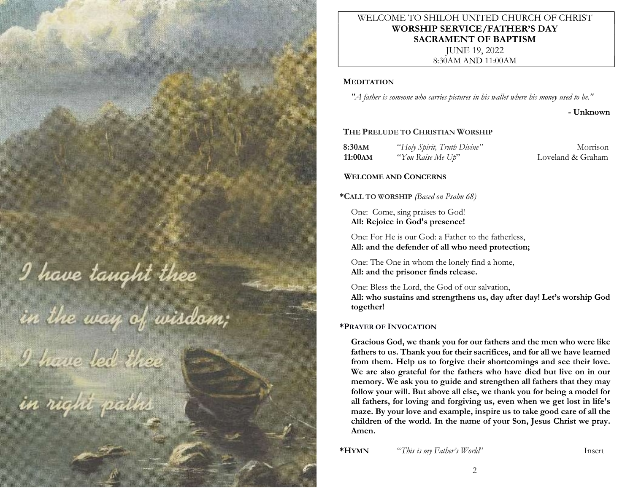I have tanght thee

in the way of wisdom;<br>I have led thee<br>in right paths

# WELCOME TO SHILOH UNITED CHURCH OF CHRIST WORSHIP SERVICE/FATHER'S DAY SACRAMENT OF BAPTISM JUNE 19, 2022

8:30AM AND 11:00AM

# **MEDITATION**

"A father is someone who carries pictures in his wallet where his money used to be."

- Unknown

# THE PRELUDE TO CHRISTIAN WORSHIP

8:30AM "Holy Spirit, Truth Divine" Morrison 11:00AM "You Raise Me Up" Loveland & Graham

# WELCOME AND CONCERNS

\*CALL TO WORSHIP (Based on Psalm 68)

One: Come, sing praises to God! All: Rejoice in God's presence!

One: For He is our God: a Father to the fatherless, All: and the defender of all who need protection;

One: The One in whom the lonely find a home, All: and the prisoner finds release.

One: Bless the Lord, the God of our salvation, All: who sustains and strengthens us, day after day! Let's worship God together!

# \*PRAYER OF INVOCATION

Gracious God, we thank you for our fathers and the men who were like fathers to us. Thank you for their sacrifices, and for all we have learned from them. Help us to forgive their shortcomings and see their love. We are also grateful for the fathers who have died but live on in our memory. We ask you to guide and strengthen all fathers that they may follow your will. But above all else, we thank you for being a model for all fathers, for loving and forgiving us, even when we get lost in life's maze. By your love and example, inspire us to take good care of all the children of the world. In the name of your Son, Jesus Christ we pray. Amen.

\*HYMN "This is my Father's World" Insert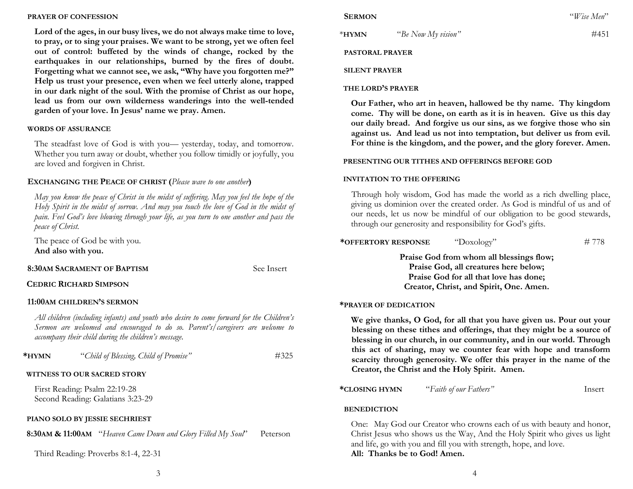#### PRAYER OF CONFESSION

Lord of the ages, in our busy lives, we do not always make time to love, to pray, or to sing your praises. We want to be strong, yet we often feel out of control: buffeted by the winds of change, rocked by the earthquakes in our relationships, burned by the fires of doubt. Forgetting what we cannot see, we ask, "Why have you forgotten me?" Help us trust your presence, even when we feel utterly alone, trapped in our dark night of the soul. With the promise of Christ as our hope, lead us from our own wilderness wanderings into the well-tended garden of your love. In Jesus' name we pray. Amen.

### WORDS OF ASSURANCE

The steadfast love of God is with you— yesterday, today, and tomorrow. Whether you turn away or doubt, whether you follow timidly or joyfully, you are loved and forgiven in Christ.

## EXCHANGING THE PEACE OF CHRIST (Please wave to one another)

May you know the peace of Christ in the midst of suffering. May you feel the hope of the Holy Spirit in the midst of sorrow. And may you touch the love of God in the midst of pain. Feel God's love blowing through your life, as you turn to one another and pass the peace of Christ.

The peace of God be with you. And also with you.

### 8:30AM SACRAMENT OF BAPTISM See Insert

## CEDRIC RICHARD SIMPSON

#### 11:00AM CHILDREN'S SERMON

All children (including infants) and youth who desire to come forward for the Children's Sermon are welcomed and encouraged to do so. Parent's/caregivers are welcome to accompany their child during the children's message.

| *HYMN | "Child of Blessing, Child of Promise" | #325 |
|-------|---------------------------------------|------|
|-------|---------------------------------------|------|

## WITNESS TO OUR SACRED STORY

First Reading: Psalm 22:19-28 Second Reading: Galatians 3:23-29

## PIANO SOLO BY JESSIE SECHRIEST

8:30AM & 11:00AM "Heaven Came Down and Glory Filled My Soul" Peterson

Third Reading: Proverbs 8:1-4, 22-31

\* $HYMN$  "Be Now My vision"  $\#451$ 

PASTORAL PRAYER

#### SILENT PRAYER

#### THE LORD'S PRAYER

Our Father, who art in heaven, hallowed be thy name. Thy kingdom come. Thy will be done, on earth as it is in heaven. Give us this day our daily bread. And forgive us our sins, as we forgive those who sin against us. And lead us not into temptation, but deliver us from evil. For thine is the kingdom, and the power, and the glory forever. Amen.

## PRESENTING OUR TITHES AND OFFERINGS BEFORE GOD

#### INVITATION TO THE OFFERING

Through holy wisdom, God has made the world as a rich dwelling place, giving us dominion over the created order. As God is mindful of us and of our needs, let us now be mindful of our obligation to be good stewards, through our generosity and responsibility for God's gifts.

#### \*OFFERTORY RESPONSE  $"Doxology"$  # 778

Praise God from whom all blessings flow; Praise God, all creatures here below; Praise God for all that love has done; Creator, Christ, and Spirit, One. Amen.

#### \*PRAYER OF DEDICATION

We give thanks, O God, for all that you have given us. Pour out your blessing on these tithes and offerings, that they might be a source of blessing in our church, in our community, and in our world. Through this act of sharing, may we counter fear with hope and transform scarcity through generosity. We offer this prayer in the name of the Creator, the Christ and the Holy Spirit. Amen.

\*CLOSING HYMN "Faith of our Fathers" Insert

#### **BENEDICTION**

One: May God our Creator who crowns each of us with beauty and honor, Christ Jesus who shows us the Way, And the Holy Spirit who gives us light and life, go with you and fill you with strength, hope, and love. All: Thanks be to God! Amen.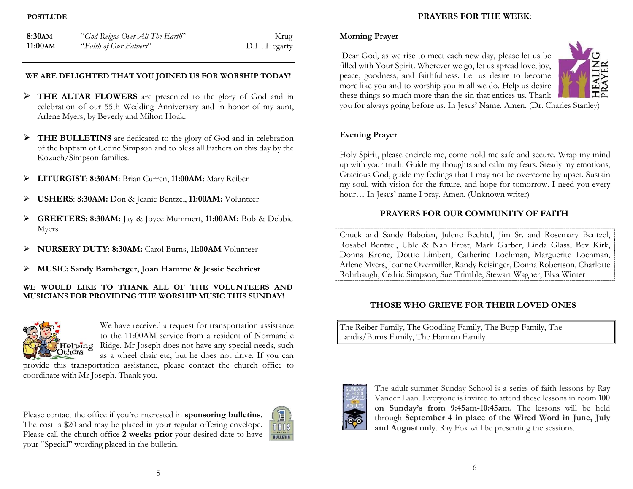### **POSTLUDE**

| 8:30AM  | "God Reigns Over All The Earth" | Krug         |
|---------|---------------------------------|--------------|
| 11:00AM | "Faith of Our Fathers"          | D.H. Hegarty |

# WE ARE DELIGHTED THAT YOU JOINED US FOR WORSHIP TODAY!

- THE ALTAR FLOWERS are presented to the glory of God and in celebration of our 55th Wedding Anniversary and in honor of my aunt, Arlene Myers, by Beverly and Milton Hoak.
- THE BULLETINS are dedicated to the glory of God and in celebration of the baptism of Cedric Simpson and to bless all Fathers on this day by the Kozuch/Simpson families.
- LITURGIST: 8:30AM: Brian Curren, 11:00AM: Mary Reiber
- USHERS: 8:30AM: Don & Jeanie Bentzel, 11:00AM: Volunteer
- $\triangleright$  **GREETERS: 8:30AM:** Jay & Joyce Mummert, 11:00AM: Bob & Debbie Myers
- NURSERY DUTY: 8:30AM: Carol Burns, 11:00AM Volunteer
- MUSIC: Sandy Bamberger, Joan Hamme & Jessie Sechriest

## WE WOULD LIKE TO THANK ALL OF THE VOLUNTEERS AND MUSICIANS FOR PROVIDING THE WORSHIP MUSIC THIS SUNDAY!



We have received a request for transportation assistance to the 11:00AM service from a resident of Normandie  $\mathbf{H}$ **elping** Ridge. Mr Joseph does not have any special needs, such as a wheel chair etc, but he does not drive. If you can

provide this transportation assistance, please contact the church office to coordinate with Mr Joseph. Thank you.

Please contact the office if you're interested in sponsoring bulletins. The cost is \$20 and may be placed in your regular offering envelope. Please call the church office 2 weeks prior your desired date to have your "Special" wording placed in the bulletin.



## PRAYERS FOR THE WEEK:

# Morning Prayer

 Dear God, as we rise to meet each new day, please let us be filled with Your Spirit. Wherever we go, let us spread love, joy, peace, goodness, and faithfulness. Let us desire to become more like you and to worship you in all we do. Help us desire these things so much more than the sin that entices us. Thank



you for always going before us. In Jesus' Name. Amen. (Dr. Charles Stanley)

## Evening Prayer

Holy Spirit, please encircle me, come hold me safe and secure. Wrap my mind up with your truth. Guide my thoughts and calm my fears. Steady my emotions, Gracious God, guide my feelings that I may not be overcome by upset. Sustain my soul, with vision for the future, and hope for tomorrow. I need you every hour… In Jesus' name I pray. Amen. (Unknown writer)

## PRAYERS FOR OUR COMMUNITY OF FAITH

Chuck and Sandy Baboian, Julene Bechtel, Jim Sr. and Rosemary Bentzel, Rosabel Bentzel, Uble & Nan Frost, Mark Garber, Linda Glass, Bev Kirk, Donna Krone, Dottie Limbert, Catherine Lochman, Marguerite Lochman, Arlene Myers, Joanne Overmiller, Randy Reisinger, Donna Robertson, Charlotte Rohrbaugh, Cedric Simpson, Sue Trimble, Stewart Wagner, Elva Winter

# THOSE WHO GRIEVE FOR THEIR LOVED ONES

The Reiber Family, The Goodling Family, The Bupp Family, The Landis/Burns Family, The Harman Family



The adult summer Sunday School is a series of faith lessons by Ray Vander Laan. Everyone is invited to attend these lessons in room 100 on Sunday's from 9:45am-10:45am. The lessons will be held through September 4 in place of the Wired Word in June, July and August only. Ray Fox will be presenting the sessions.